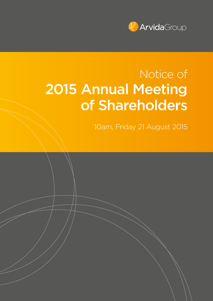

# Notice of 2015 Annual Meeting of Shareholders

10am, Friday 21 August 2015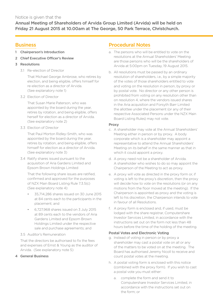## Notice is given that the

Annual Meeting of Shareholders of Arvida Group Limited (Arvida) will be held on Friday 21 August 2015 at 10.00am at The George, 50 Park Terrace, Christchurch.

## **Business**

- 1 Chairperson's Introduction
- 2 Chief Executive Officer's Review
- 3 Resolutions
	- 3.1 Re-election of Director

That Michael George Ambrose, who retires by election, and being eligible, offers himself for re-election as a director of Arvida. (See explanatory note 1)

3.2 Election of Director

That Susan Marie Paterson, who was appointed by the board during the year, retires by rotation, and being eligible, offers herself for election as a director of Arvida. (See explanatory note 2)

3.3 Election of Director

That Paul Morton Ridley-Smith, who was appointed by the board during the year, retires by rotation, and being eligible, offers himself for election as a director of Arvida. (See explanatory note 3)

3.4 Ratify shares issued pursuant to the acquisition of Aria Gardens Limited and Epsom Brown Holdings Limited

That the following share issues are ratified, confirmed and approved for the purposes of NZX Main Board Listing Rule 7.3.5(c) (See explanatory note 4):

- 35,714,286 shares issued on 30 June 2015 at 84 cents each to the participants in the placement; and
- 6,727,968 shares issued on 3 July 2015 at 89 cents each to the vendors of Aria Gardens Limited and Epsom Brown Holdings Limited under the respective sale and purchase agreements; and
- 3.5 Auditor's Remuneration

That the directors be authorised to fix the fees and expenses of Ernst & Young as the auditor of Arvida. (See explanatory note 5)

4 General Business

# Procedural Notes

- a. The persons who will be entitled to vote on the resolutions at the Annual Shareholders' Meeting are those persons who will be the shareholders of Arvida at 5:00pm on Tuesday, 19 August 2015.
- b. All resolutions must be passed by an ordinary resolution of shareholders, i.e., by a simple majority of the votes of those shareholders entitled to vote and voting on the resolution in person, by proxy or by postal vote. No director or any other person is prohibited from voting on any resolution other than on resolution 4, where the vendors issued shares in the Aria acquisition and Forsyth Barr Limited the allottee under the placement (or any of their respective Associated Persons under the NZX Main Board Listing Rules) may not vote.

## Proxy

- c. A shareholder may vote at the Annual Shareholders' Meeting either in person or by proxy. A body corporate which is a shareholder may appoint a representative to attend the Annual Shareholders' Meeting on its behalf in the same manner as that in which it could appoint a proxy.
- d. A proxy need not be a shareholder of Arvida. A shareholder who wishes to do so may appoint the Chairperson of the Meeting to act as proxy.
- e. A proxy will vote as directed in the proxy form or, if voting is left to the proxy's discretion, then the proxy will decide how to vote on the resolutions (or on any motions from the floor moved at the meeting). If the Chairperson is appointed as proxy and the voting is left to his discretion, the Chairperson intends to vote in favour of all Resolutions.
- f. A proxy form is enclosed and, if used, must be lodged with the share registrar, Computershare Investor Services Limited, in accordance with the instructions set out on the form not less than 48 hours before the time of the holding of the meeting.

## Postal Votes and Electronic Voting

- g. Instead of voting in person or by proxy a shareholder may cast a postal vote on all or any of the matters to be voted on at the meeting. The Board has authorised Jeremy Nicoll to receive and count postal votes at the meeting.
- h. A postal voting form is enclosed with this notice (combined with the proxy form). If you wish to cast a postal vote you must either:
	- a. complete the form and send it to Computershare Investor Services Limited, in accordance with the instructions set out on the form; or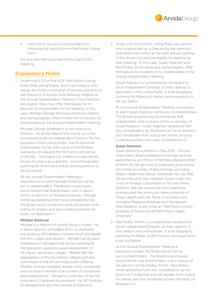

b. vote online via www.investorvote.co.nz following the instructions in the Proxy/Voting Form.

not less than 48 hours before the start of the meeting.

# Explanatory Notes

1. Under rule 3.3.11 of the NZX Main Board Listing Rules (the Listing Rules), and in accordance with clause 26 of the constitution of Arvida, one third of the Directors of Arvida must retire by rotation at the Annual Shareholders' Meeting. If the Directors are eligible, they may offer themselves for reelection by shareholders at the meeting. In this case, Michael George Ambrose retires by rotation and, being eligible, offers himself for re-election by shareholders at the Annual Shareholders' Meeting.

Michael George Ambrose is a non-executive Director. As at the date of this notice, he is not considered to be an Independent Director for the purposes of the Listing Rules, due to historical relationships he has with some of the facilities owned by Arvida and the formation and listing of Arvida. The board will continue to periodically review his status as a director. A brief biography outlining Mr Ambrose's history and experience is set out below.

At the Annual Shareholders' Meeting a resolution to re-elect Michael Ambrose will be put to shareholders. The Board unanimously recommends that shareholders vote in favour of the re-election of Michael Ambrose. Michael Ambrose abstained from any consideration by the Board on his re-election and will abstain from voting his shares, and any incidental proxies he holds, on Resolution 1.

#### *Michael Ambrose*

*Michael is a director of Arvida Group Limited. He is also a director of Rodgers & Co, a chartered accountancy firm based in Christchurch and heads the firm's aged care division. Michael has 16 years' experience in the aged care sector, advising on the operation, expansion and development of his clients' retirement villages. Michael led the aggregation of the foundation villages and was a promoter of the Arvida initial public offering. Michael actively manages several client companies and is a board member of a number of companies and organisations. Michael is a member of the NZ Institute of Chartered Accountants, the NZ Institute of Management and the Institute of Directors.*

2. Under rule 3.3.6 of the Listing Rules, any person who is appointed as a Director by the directors shall retire from office at the next annual meeting of the Issuer, but shall be eligible for election at that meeting. In this case, Susan Paterson and Paul Ridley-Smith retire and, being eligible, offer themselves for re-election by shareholders at the Annual Shareholders' Meeting

Susan Paterson is considered by the Board to be an Independent Director, as that capacity is described in the Listing Rules. A brief biography outlining Ms Paterson's history and experience is set out below.

At the Annual Shareholders' Meeting a resolution to elect Susan Paterson will be put to shareholders. The Board unanimously recommends that shareholders vote in favour of the re-election of Susan Paterson. Susan Paterson abstained from any consideration by the Board on her re-election and will abstain from voting her shares, and any incidental proxies she holds, on Resolution 2.

#### *Susan Paterson*

*Susan became a director in May 2015. She has many years' Board experience and was recently appointed as an Officer of the New Zealand Order of Merit for her services to corporate governance. She holds a number of directorships, including Abano Healthcare Group, Goodman NZ, Les Mills NZ and Housing New Zealand. Susan is also the Chair of Airways Corporation of NZ and Theta Systems. She has owned her own pharmacy business and has previously been a director of Tower Health and Life, Ports of Auckland Ltd, Auckland Regional Holdings and Transpower New Zealand. Susan holds an MBA from London Business School and a BPharm from Otago University.*

3. Paul Ridley-Smith is considered by the Board to be an Independent Director, as that capacity is described in the Listing Rules. A brief biography outlining Mr Ridley-Smith's history and experience is set out below.

At the Annual Shareholders' Meeting a resolution to elect Mr. Ridley-Smith will be put to shareholders. The Board unanimously recommends that shareholders vote in favour of the election of Paul Ridley-Smith. Paul Ridley-Smith abstained from any consideration by the Board on his election and will abstain from voting his shares, and any incidental proxies he holds, on Resolution 3.